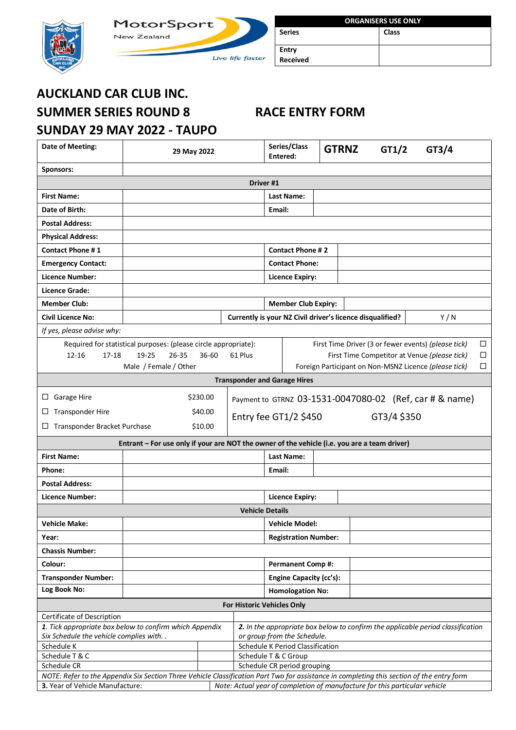



| <b>ORGANISERS USE ONLY</b> |       |  |  |  |  |
|----------------------------|-------|--|--|--|--|
| <b>Series</b>              | Class |  |  |  |  |
|                            |       |  |  |  |  |
| Entry                      |       |  |  |  |  |
| <b>Received</b>            |       |  |  |  |  |

# **AUCKLAND CAR CLUB INC. SUMMER SERIES ROUND 8 RACE ENTRY FORM SUNDAY 29 MAY 2022 - TAUPO**

| Date of Meeting:                                                                                                                          | 29 May 2022                                                                                                                                |                             | Series/Class<br>Entered:                                        |                                                           | <b>GTRNZ</b> | GT1/2 | GT3/4       |                                                         |        |
|-------------------------------------------------------------------------------------------------------------------------------------------|--------------------------------------------------------------------------------------------------------------------------------------------|-----------------------------|-----------------------------------------------------------------|-----------------------------------------------------------|--------------|-------|-------------|---------------------------------------------------------|--------|
| Sponsors:                                                                                                                                 |                                                                                                                                            |                             |                                                                 |                                                           |              |       |             |                                                         |        |
| Driver #1                                                                                                                                 |                                                                                                                                            |                             |                                                                 |                                                           |              |       |             |                                                         |        |
| <b>First Name:</b>                                                                                                                        |                                                                                                                                            |                             |                                                                 | <b>Last Name:</b>                                         |              |       |             |                                                         |        |
| Date of Birth:                                                                                                                            |                                                                                                                                            |                             |                                                                 | Email:                                                    |              |       |             |                                                         |        |
| <b>Postal Address:</b>                                                                                                                    |                                                                                                                                            |                             |                                                                 |                                                           |              |       |             |                                                         |        |
| <b>Physical Address:</b>                                                                                                                  |                                                                                                                                            |                             |                                                                 |                                                           |              |       |             |                                                         |        |
| <b>Contact Phone #1</b>                                                                                                                   |                                                                                                                                            |                             |                                                                 | <b>Contact Phone #2</b>                                   |              |       |             |                                                         |        |
| <b>Emergency Contact:</b>                                                                                                                 |                                                                                                                                            |                             |                                                                 | <b>Contact Phone:</b>                                     |              |       |             |                                                         |        |
| <b>Licence Number:</b>                                                                                                                    |                                                                                                                                            |                             |                                                                 | <b>Licence Expiry:</b>                                    |              |       |             |                                                         |        |
| <b>Licence Grade:</b>                                                                                                                     |                                                                                                                                            |                             |                                                                 |                                                           |              |       |             |                                                         |        |
| <b>Member Club:</b>                                                                                                                       |                                                                                                                                            |                             |                                                                 | <b>Member Club Expiry:</b>                                |              |       |             |                                                         |        |
| <b>Civil Licence No:</b>                                                                                                                  |                                                                                                                                            |                             |                                                                 | Currently is your NZ Civil driver's licence disqualified? |              |       |             | Y/N                                                     |        |
| If yes, please advise why:                                                                                                                |                                                                                                                                            |                             |                                                                 |                                                           |              |       |             |                                                         |        |
|                                                                                                                                           | Required for statistical purposes: (please circle appropriate):                                                                            |                             |                                                                 |                                                           |              |       |             | First Time Driver (3 or fewer events) (please tick)     | $\Box$ |
| $12 - 16$<br>$17 - 18$                                                                                                                    | 19-25<br>$26 - 35$                                                                                                                         | $36 - 60$                   | 61 Plus                                                         |                                                           |              |       |             | First Time Competitor at Venue (please tick)            | □      |
|                                                                                                                                           | Male / Female / Other                                                                                                                      |                             |                                                                 |                                                           |              |       |             | Foreign Participant on Non-MSNZ Licence (please tick)   | ◻      |
|                                                                                                                                           |                                                                                                                                            |                             |                                                                 | <b>Transponder and Garage Hires</b>                       |              |       |             |                                                         |        |
| Garage Hire<br>ப                                                                                                                          |                                                                                                                                            | \$230.00                    |                                                                 |                                                           |              |       |             | Payment to GTRNZ 03-1531-0047080-02 (Ref, car # & name) |        |
| <b>Transponder Hire</b><br>⊔                                                                                                              |                                                                                                                                            | \$40.00                     | Entry fee $GT1/2$ \$450                                         |                                                           |              |       |             |                                                         |        |
| Transponder Bracket Purchase<br>⊔                                                                                                         |                                                                                                                                            | \$10.00                     |                                                                 |                                                           |              |       | GT3/4 \$350 |                                                         |        |
|                                                                                                                                           | Entrant - For use only if your are NOT the owner of the vehicle (i.e. you are a team driver)                                               |                             |                                                                 |                                                           |              |       |             |                                                         |        |
| <b>First Name:</b>                                                                                                                        |                                                                                                                                            |                             |                                                                 | <b>Last Name:</b>                                         |              |       |             |                                                         |        |
| Phone:                                                                                                                                    |                                                                                                                                            |                             |                                                                 | Email:                                                    |              |       |             |                                                         |        |
| <b>Postal Address:</b>                                                                                                                    |                                                                                                                                            |                             |                                                                 |                                                           |              |       |             |                                                         |        |
| <b>Licence Number:</b>                                                                                                                    |                                                                                                                                            |                             |                                                                 | <b>Licence Expiry:</b>                                    |              |       |             |                                                         |        |
|                                                                                                                                           |                                                                                                                                            |                             | <b>Vehicle Details</b>                                          |                                                           |              |       |             |                                                         |        |
| <b>Vehicle Make:</b>                                                                                                                      | <b>Vehicle Model:</b>                                                                                                                      |                             |                                                                 |                                                           |              |       |             |                                                         |        |
| Year:                                                                                                                                     | <b>Registration Number:</b>                                                                                                                |                             |                                                                 |                                                           |              |       |             |                                                         |        |
| <b>Chassis Number:</b>                                                                                                                    |                                                                                                                                            |                             |                                                                 |                                                           |              |       |             |                                                         |        |
| Colour:                                                                                                                                   |                                                                                                                                            |                             | <b>Permanent Comp#:</b>                                         |                                                           |              |       |             |                                                         |        |
| <b>Transponder Number:</b>                                                                                                                |                                                                                                                                            |                             | Engine Capacity (cc's):                                         |                                                           |              |       |             |                                                         |        |
| Log Book No:                                                                                                                              |                                                                                                                                            |                             | <b>Homologation No:</b>                                         |                                                           |              |       |             |                                                         |        |
| For Historic Vehicles Only                                                                                                                |                                                                                                                                            |                             |                                                                 |                                                           |              |       |             |                                                         |        |
| Certificate of Description                                                                                                                |                                                                                                                                            |                             |                                                                 |                                                           |              |       |             |                                                         |        |
|                                                                                                                                           | 1. Tick appropriate box below to confirm which Appendix<br>2. In the appropriate box below to confirm the applicable period classification |                             |                                                                 |                                                           |              |       |             |                                                         |        |
| Six Schedule the vehicle complies with. .<br>Schedule K                                                                                   |                                                                                                                                            |                             | or group from the Schedule.<br>Schedule K Period Classification |                                                           |              |       |             |                                                         |        |
| Schedule T & C                                                                                                                            |                                                                                                                                            |                             |                                                                 | Schedule T & C Group                                      |              |       |             |                                                         |        |
| Schedule CR                                                                                                                               |                                                                                                                                            | Schedule CR period grouping |                                                                 |                                                           |              |       |             |                                                         |        |
| NOTE: Refer to the Appendix Six Section Three Vehicle Classification Part Two for assistance in completing this section of the entry form |                                                                                                                                            |                             |                                                                 |                                                           |              |       |             |                                                         |        |
| Note: Actual year of completion of manufacture for this particular vehicle<br>3. Year of Vehicle Manufacture:                             |                                                                                                                                            |                             |                                                                 |                                                           |              |       |             |                                                         |        |